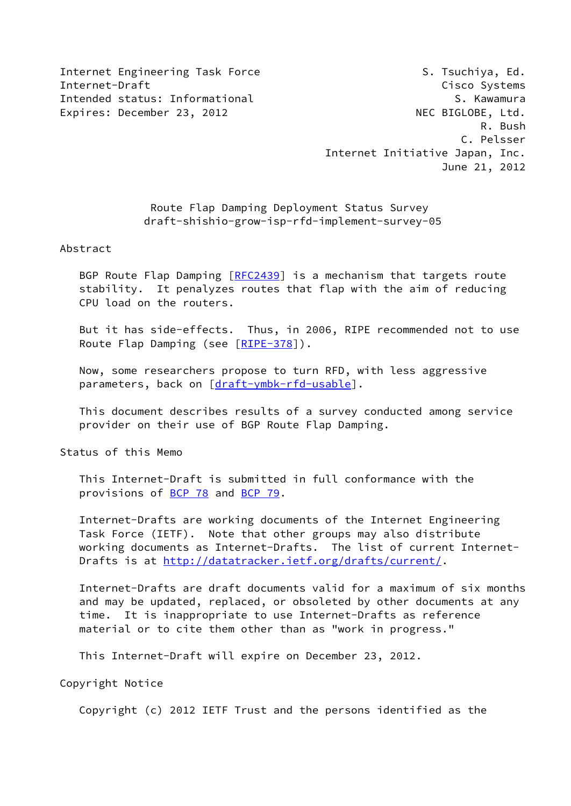Internet Engineering Task Force S. Tsuchiya, Ed. Internet-Draft Cisco Systems Intended status: Informational S. Kawamura Expires: December 23, 2012 MEC BIGLOBE, Ltd.

 R. Bush C. Pelsser Internet Initiative Japan, Inc. June 21, 2012

> Route Flap Damping Deployment Status Survey draft-shishio-grow-isp-rfd-implement-survey-05

## Abstract

 BGP Route Flap Damping [\[RFC2439](https://datatracker.ietf.org/doc/pdf/rfc2439)] is a mechanism that targets route stability. It penalyzes routes that flap with the aim of reducing CPU load on the routers.

 But it has side-effects. Thus, in 2006, RIPE recommended not to use Route Flap Damping (see [\[RIPE-378](#page-9-0)]).

 Now, some researchers propose to turn RFD, with less aggressive parameters, back on [\[draft-ymbk-rfd-usable](https://datatracker.ietf.org/doc/pdf/draft-ymbk-rfd-usable)].

 This document describes results of a survey conducted among service provider on their use of BGP Route Flap Damping.

Status of this Memo

 This Internet-Draft is submitted in full conformance with the provisions of [BCP 78](https://datatracker.ietf.org/doc/pdf/bcp78) and [BCP 79](https://datatracker.ietf.org/doc/pdf/bcp79).

 Internet-Drafts are working documents of the Internet Engineering Task Force (IETF). Note that other groups may also distribute working documents as Internet-Drafts. The list of current Internet Drafts is at<http://datatracker.ietf.org/drafts/current/>.

 Internet-Drafts are draft documents valid for a maximum of six months and may be updated, replaced, or obsoleted by other documents at any time. It is inappropriate to use Internet-Drafts as reference material or to cite them other than as "work in progress."

This Internet-Draft will expire on December 23, 2012.

Copyright Notice

Copyright (c) 2012 IETF Trust and the persons identified as the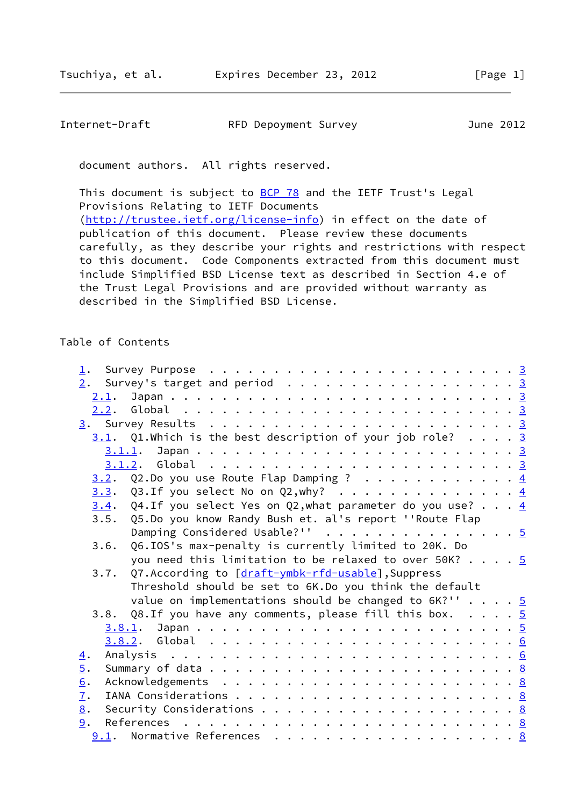| Internet-Draft | RFD Depoyment Survey | June 2012 |
|----------------|----------------------|-----------|
|                |                      |           |

document authors. All rights reserved.

This document is subject to [BCP 78](https://datatracker.ietf.org/doc/pdf/bcp78) and the IETF Trust's Legal Provisions Relating to IETF Documents [\(http://trustee.ietf.org/license-info](http://trustee.ietf.org/license-info)) in effect on the date of publication of this document. Please review these documents carefully, as they describe your rights and restrictions with respect to this document. Code Components extracted from this document must include Simplified BSD License text as described in Section 4.e of the Trust Legal Provisions and are provided without warranty as described in the Simplified BSD License.

## Table of Contents

| $1$ .                                                            |  |
|------------------------------------------------------------------|--|
| $\underline{2}$ . Survey's target and period 3                   |  |
|                                                                  |  |
|                                                                  |  |
|                                                                  |  |
| $3.1$ . Q1.Which is the best description of your job role? 3     |  |
|                                                                  |  |
|                                                                  |  |
| $3.2.$ Q2.Do you use Route Flap Damping ? 4                      |  |
| $3.3.$ Q3.If you select No on Q2,why? 4                          |  |
| 3.4. Q4. If you select Yes on Q2, what parameter do you use? $4$ |  |
| 3.5. Q5.Do you know Randy Bush et. al's report ''Route Flap      |  |
| Damping Considered Usable?'' 5                                   |  |
| Q6.IOS's max-penalty is currently limited to 20K. Do<br>3.6.     |  |
| you need this limitation to be relaxed to over 50K? $5$          |  |
| 3.7. Q7.According to [draft-ymbk-rfd-usable], Suppress           |  |
| Threshold should be set to 6K.Do you think the default           |  |
| value on implementations should be changed to $6K$ ?'' 5         |  |
| 3.8. Q8.If you have any comments, please fill this box. 5        |  |
|                                                                  |  |
|                                                                  |  |
| $\overline{4}$ .                                                 |  |
| $\overline{5}$ .                                                 |  |
| 6.                                                               |  |
| 7.                                                               |  |
| 8.                                                               |  |
| 9.                                                               |  |
|                                                                  |  |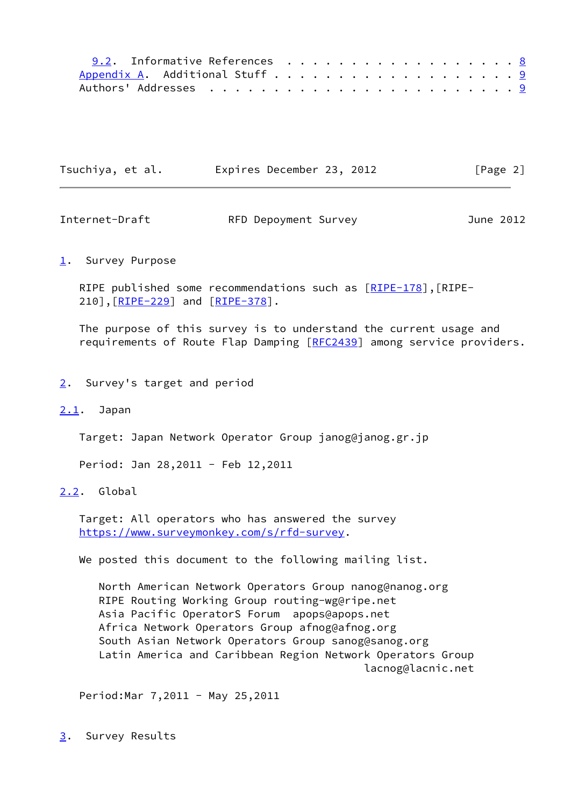| 9.2. Informative References 8 |  |  |  |  |  |  |  |  |  |  |
|-------------------------------|--|--|--|--|--|--|--|--|--|--|
|                               |  |  |  |  |  |  |  |  |  |  |
|                               |  |  |  |  |  |  |  |  |  |  |

| Tsuchiya, et al. | Expires December 23, 2012 | [Page 2] |
|------------------|---------------------------|----------|
|------------------|---------------------------|----------|

<span id="page-2-1"></span>Internet-Draft RFD Depoyment Survey June 2012

#### <span id="page-2-0"></span>[1](#page-2-0). Survey Purpose

RIPE published some recommendations such as  $[RIPE-178]$  $[RIPE-178]$ , [RIPE-210], [\[RIPE-229](#page-9-4)] and [\[RIPE-378](#page-9-0)].

 The purpose of this survey is to understand the current usage and requirements of Route Flap Damping [[RFC2439\]](https://datatracker.ietf.org/doc/pdf/rfc2439) among service providers.

# <span id="page-2-2"></span>[2](#page-2-2). Survey's target and period

#### <span id="page-2-3"></span>[2.1](#page-2-3). Japan

Target: Japan Network Operator Group janog@janog.gr.jp

Period: Jan 28,2011 - Feb 12,2011

## <span id="page-2-4"></span>[2.2](#page-2-4). Global

 Target: All operators who has answered the survey <https://www.surveymonkey.com/s/rfd-survey>.

We posted this document to the following mailing list.

 North American Network Operators Group nanog@nanog.org RIPE Routing Working Group routing-wg@ripe.net Asia Pacific OperatorS Forum apops@apops.net Africa Network Operators Group afnog@afnog.org South Asian Network Operators Group sanog@sanog.org Latin America and Caribbean Region Network Operators Group lacnog@lacnic.net

Period:Mar 7,2011 - May 25,2011

<span id="page-2-5"></span>[3](#page-2-5). Survey Results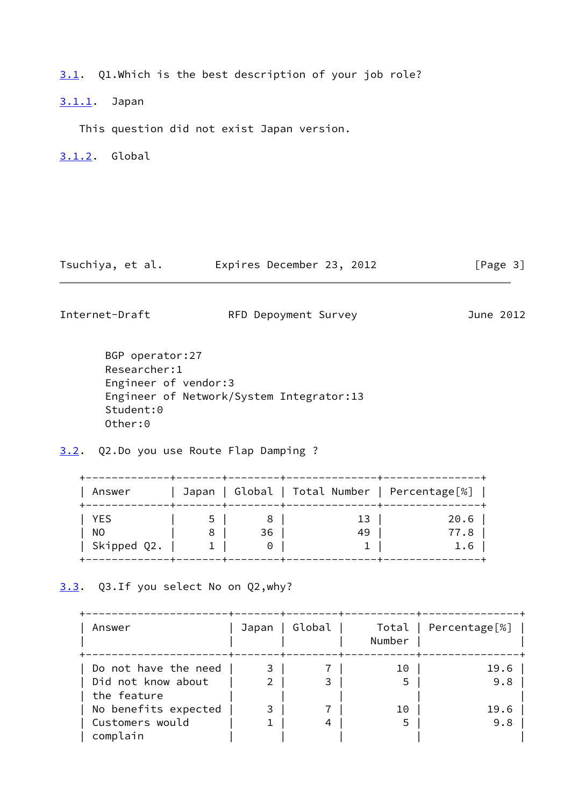<span id="page-3-0"></span>[3.1](#page-3-0). Q1.Which is the best description of your job role?

<span id="page-3-1"></span>[3.1.1](#page-3-1). Japan

This question did not exist Japan version.

<span id="page-3-2"></span>[3.1.2](#page-3-2). Global

Tsuchiya, et al. Expires December 23, 2012 [Page 3]

<span id="page-3-4"></span>Internet-Draft RFD Depoyment Survey June 2012

 BGP operator:27 Researcher:1 Engineer of vendor:3 Engineer of Network/System Integrator:13 Student:0 Other:0

<span id="page-3-3"></span>[3.2](#page-3-3). Q2.Do you use Route Flap Damping ?

| Answer      |   |          | Japan   Global   Total Number   Percentage[%] |      |
|-------------|---|----------|-----------------------------------------------|------|
| YES         |   | 8        | 13                                            | 20.6 |
| NO.         | 8 | 36       | 49                                            | 77.8 |
| Skipped Q2. |   | $\Theta$ |                                               | 1.6  |

<span id="page-3-5"></span>[3.3](#page-3-5). Q3.If you select No on Q2,why?

| Answer                            | Japan          | Global | Number | Total   Percentage[%] |
|-----------------------------------|----------------|--------|--------|-----------------------|
| Do not have the need              | 3              |        | 10     | 19.6                  |
| Did not know about<br>the feature | $\mathfrak{D}$ | 3      | 5      | 9.8                   |
| No benefits expected              | 3              |        | 10     | 19.6                  |
| Customers would<br>complain       |                | 4      | 5      | 9.8                   |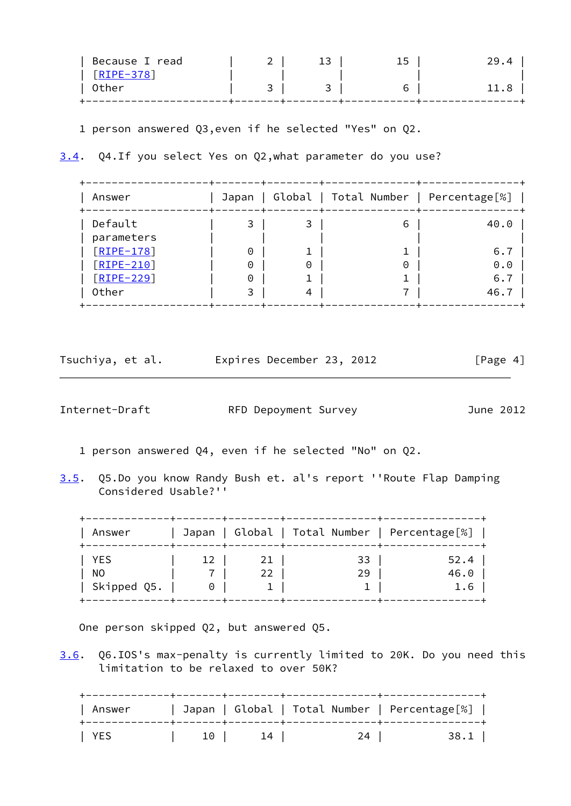| Because I read     | ∸ | 15 |  |
|--------------------|---|----|--|
| $\lceil$ RIPE-378] |   |    |  |
| Other              |   |    |  |
|                    |   |    |  |

1 person answered Q3,even if he selected "Yes" on Q2.

<span id="page-4-0"></span>[3.4](#page-4-0). Q4.If you select Yes on Q2,what parameter do you use?

| Answer       | Japan    |   | Global   Total Number   Percentage[%] |      |
|--------------|----------|---|---------------------------------------|------|
| Default      | 3        | 3 | 6                                     | 40.0 |
| parameters   |          |   |                                       |      |
| $[RIPE-178]$ | $\Theta$ |   |                                       | 6.7  |
| $[RIPE-210]$ | 0        | 0 | 0                                     | 0.0  |
| $[RIPE-229]$ | 0        | T |                                       | 6.7  |
| Other        | 3        | 4 |                                       | 46.7 |

| Tsuchiya, et al. |  | Expires December 23, 2012 |  | [Page 4] |  |
|------------------|--|---------------------------|--|----------|--|
|                  |  |                           |  |          |  |

<span id="page-4-1"></span>Internet-Draft RFD Depoyment Survey June 2012

- 1 person answered Q4, even if he selected "No" on Q2.
- <span id="page-4-2"></span>[3.5](#page-4-2). Q5.Do you know Randy Bush et. al's report ''Route Flap Damping Considered Usable?''

| Answer      |    |    | Japan   Global   Total Number   Percentage[%] |      |
|-------------|----|----|-----------------------------------------------|------|
| YES         | 12 | 21 | 33                                            | 52.4 |
| NO.         |    | 22 | 29                                            | 46.0 |
| Skipped Q5. | 0  |    |                                               | 1.6  |

One person skipped Q2, but answered Q5.

<span id="page-4-3"></span>[3.6](#page-4-3). Q6.IOS's max-penalty is currently limited to 20K. Do you need this limitation to be relaxed to over 50K?

|       | Answer |      |                   |    | Japan   Global   Total Number   Percentage[%] |  |
|-------|--------|------|-------------------|----|-----------------------------------------------|--|
| YES Y |        | 10 I | $\perp$ 4 $\perp$ | 24 | 38.1                                          |  |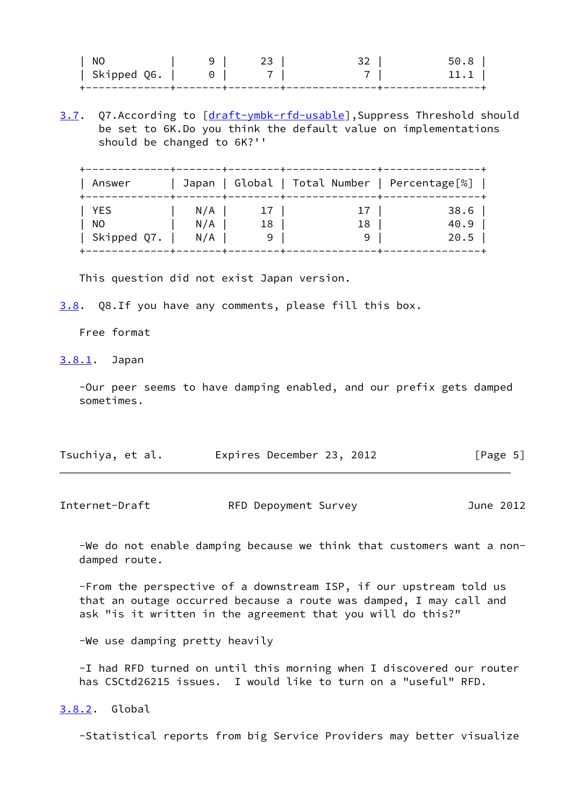| NC          |                      |  | 50. |
|-------------|----------------------|--|-----|
| Skipped Q6. | $\cup$ $\cup$ $\cup$ |  |     |
|             |                      |  |     |

<span id="page-5-3"></span>[3.7](#page-5-3). Q7.According to [[draft-ymbk-rfd-usable\]](https://datatracker.ietf.org/doc/pdf/draft-ymbk-rfd-usable), Suppress Threshold should be set to 6K.Do you think the default value on implementations should be changed to 6K?''

| Answer      |     |    | Japan   Global   Total Number   Percentage[%] |      |
|-------------|-----|----|-----------------------------------------------|------|
| YES         | N/A |    |                                               | 38.6 |
| NO.         | N/A | 18 | 18                                            | 40.9 |
| Skipped Q7. | N/A | 9  |                                               | 20.5 |

This question did not exist Japan version.

<span id="page-5-4"></span>[3.8](#page-5-4). Q8.If you have any comments, please fill this box.

Free format

<span id="page-5-0"></span>[3.8.1](#page-5-0). Japan

 -Our peer seems to have damping enabled, and our prefix gets damped sometimes.

| Tsuchiya, et al. |  | Expires December 23, 2012 |  |  | [Page 5] |  |  |
|------------------|--|---------------------------|--|--|----------|--|--|
|------------------|--|---------------------------|--|--|----------|--|--|

<span id="page-5-2"></span>Internet-Draft RFD Depoyment Survey June 2012

 -We do not enable damping because we think that customers want a non damped route.

 -From the perspective of a downstream ISP, if our upstream told us that an outage occurred because a route was damped, I may call and ask "is it written in the agreement that you will do this?"

-We use damping pretty heavily

 -I had RFD turned on until this morning when I discovered our router has CSCtd26215 issues. I would like to turn on a "useful" RFD.

<span id="page-5-1"></span>[3.8.2](#page-5-1). Global

-Statistical reports from big Service Providers may better visualize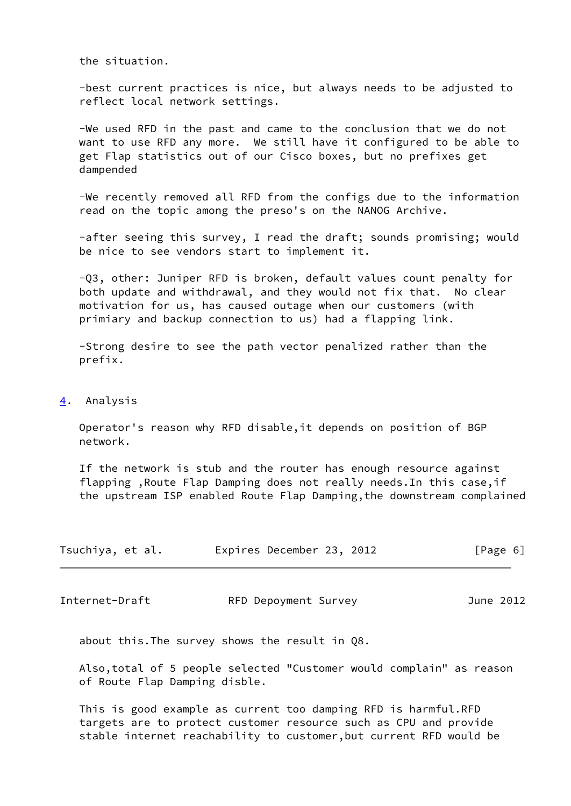the situation.

 -best current practices is nice, but always needs to be adjusted to reflect local network settings.

 -We used RFD in the past and came to the conclusion that we do not want to use RFD any more. We still have it configured to be able to get Flap statistics out of our Cisco boxes, but no prefixes get dampended

 -We recently removed all RFD from the configs due to the information read on the topic among the preso's on the NANOG Archive.

 -after seeing this survey, I read the draft; sounds promising; would be nice to see vendors start to implement it.

 -Q3, other: Juniper RFD is broken, default values count penalty for both update and withdrawal, and they would not fix that. No clear motivation for us, has caused outage when our customers (with primiary and backup connection to us) had a flapping link.

 -Strong desire to see the path vector penalized rather than the prefix.

#### <span id="page-6-0"></span>[4](#page-6-0). Analysis

 Operator's reason why RFD disable,it depends on position of BGP network.

 If the network is stub and the router has enough resource against flapping ,Route Flap Damping does not really needs.In this case,if the upstream ISP enabled Route Flap Damping,the downstream complained

| Tsuchiya, et al. | Expires December 23, 2012 | [Page 6] |
|------------------|---------------------------|----------|
|------------------|---------------------------|----------|

Internet-Draft RFD Depoyment Survey June 2012

about this.The survey shows the result in Q8.

 Also,total of 5 people selected "Customer would complain" as reason of Route Flap Damping disble.

 This is good example as current too damping RFD is harmful.RFD targets are to protect customer resource such as CPU and provide stable internet reachability to customer,but current RFD would be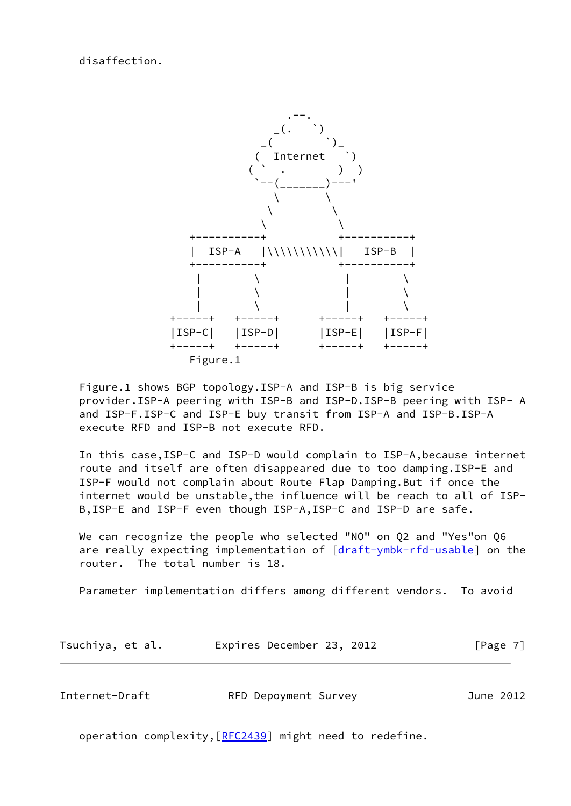disaffection.



 Figure.1 shows BGP topology.ISP-A and ISP-B is big service provider.ISP-A peering with ISP-B and ISP-D.ISP-B peering with ISP- A and ISP-F.ISP-C and ISP-E buy transit from ISP-A and ISP-B.ISP-A execute RFD and ISP-B not execute RFD.

 In this case,ISP-C and ISP-D would complain to ISP-A,because internet route and itself are often disappeared due to too damping.ISP-E and ISP-F would not complain about Route Flap Damping.But if once the internet would be unstable,the influence will be reach to all of ISP- B,ISP-E and ISP-F even though ISP-A,ISP-C and ISP-D are safe.

 We can recognize the people who selected "NO" on Q2 and "Yes"on Q6 are really expecting implementation of [\[draft-ymbk-rfd-usable](https://datatracker.ietf.org/doc/pdf/draft-ymbk-rfd-usable)] on the router. The total number is 18.

Parameter implementation differs among different vendors. To avoid

| Tsuchiya, et al. | Expires December 23, 2012 |  | [Page 7] |
|------------------|---------------------------|--|----------|
|------------------|---------------------------|--|----------|

<span id="page-7-0"></span>

| Internet-Draft | RFD Depoyment Survey | June 2012 |
|----------------|----------------------|-----------|
|----------------|----------------------|-----------|

operation complexity, [\[RFC2439](https://datatracker.ietf.org/doc/pdf/rfc2439)] might need to redefine.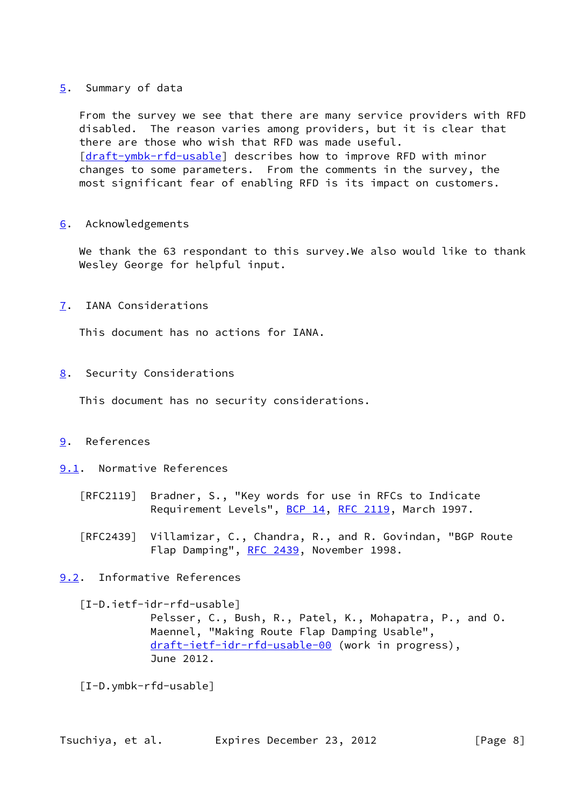### <span id="page-8-0"></span>[5](#page-8-0). Summary of data

 From the survey we see that there are many service providers with RFD disabled. The reason varies among providers, but it is clear that there are those who wish that RFD was made useful. [\[draft-ymbk-rfd-usable](https://datatracker.ietf.org/doc/pdf/draft-ymbk-rfd-usable)] describes how to improve RFD with minor changes to some parameters. From the comments in the survey, the most significant fear of enabling RFD is its impact on customers.

<span id="page-8-1"></span>[6](#page-8-1). Acknowledgements

We thank the 63 respondant to this survey. We also would like to thank Wesley George for helpful input.

<span id="page-8-2"></span>[7](#page-8-2). IANA Considerations

This document has no actions for IANA.

<span id="page-8-3"></span>[8](#page-8-3). Security Considerations

This document has no security considerations.

- <span id="page-8-4"></span>[9](#page-8-4). References
- <span id="page-8-5"></span>[9.1](#page-8-5). Normative References
	- [RFC2119] Bradner, S., "Key words for use in RFCs to Indicate Requirement Levels", [BCP 14](https://datatracker.ietf.org/doc/pdf/bcp14), [RFC 2119](https://datatracker.ietf.org/doc/pdf/rfc2119), March 1997.
	- [RFC2439] Villamizar, C., Chandra, R., and R. Govindan, "BGP Route Flap Damping", [RFC 2439](https://datatracker.ietf.org/doc/pdf/rfc2439), November 1998.
- <span id="page-8-6"></span>[9.2](#page-8-6). Informative References

 [I-D.ietf-idr-rfd-usable] Pelsser, C., Bush, R., Patel, K., Mohapatra, P., and O. Maennel, "Making Route Flap Damping Usable", [draft-ietf-idr-rfd-usable-00](https://datatracker.ietf.org/doc/pdf/draft-ietf-idr-rfd-usable-00) (work in progress), June 2012.

[I-D.ymbk-rfd-usable]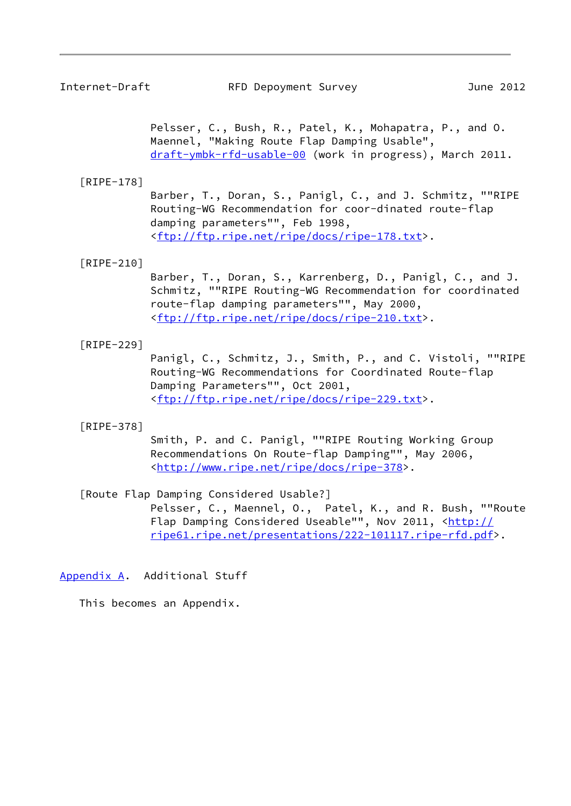<span id="page-9-2"></span> Pelsser, C., Bush, R., Patel, K., Mohapatra, P., and O. Maennel, "Making Route Flap Damping Usable", [draft-ymbk-rfd-usable-00](https://datatracker.ietf.org/doc/pdf/draft-ymbk-rfd-usable-00) (work in progress), March 2011.

## <span id="page-9-3"></span>[RIPE-178]

 Barber, T., Doran, S., Panigl, C., and J. Schmitz, ""RIPE Routing-WG Recommendation for coor-dinated route-flap damping parameters"", Feb 1998, <[ftp://ftp.ripe.net/ripe/docs/ripe-178.txt>](ftp://ftp.ripe.net/ripe/docs/ripe-178.txt).

## <span id="page-9-5"></span>[RIPE-210]

 Barber, T., Doran, S., Karrenberg, D., Panigl, C., and J. Schmitz, ""RIPE Routing-WG Recommendation for coordinated route-flap damping parameters"", May 2000, <[ftp://ftp.ripe.net/ripe/docs/ripe-210.txt>](ftp://ftp.ripe.net/ripe/docs/ripe-210.txt).

### <span id="page-9-4"></span>[RIPE-229]

 Panigl, C., Schmitz, J., Smith, P., and C. Vistoli, ""RIPE Routing-WG Recommendations for Coordinated Route-flap Damping Parameters"", Oct 2001, <[ftp://ftp.ripe.net/ripe/docs/ripe-229.txt>](ftp://ftp.ripe.net/ripe/docs/ripe-229.txt).

#### <span id="page-9-0"></span>[RIPE-378]

 Smith, P. and C. Panigl, ""RIPE Routing Working Group Recommendations On Route-flap Damping"", May 2006, <<http://www.ripe.net/ripe/docs/ripe-378>>.

[Route Flap Damping Considered Usable?]

 Pelsser, C., Maennel, O., Patel, K., and R. Bush, ""Route Flap Damping Considered Useable"", Nov 2011, [<http://](http://ripe61.ripe.net/presentations/222-101117.ripe-rfd.pdf) [ripe61.ripe.net/presentations/222-101117.ripe-rfd.pdf>](http://ripe61.ripe.net/presentations/222-101117.ripe-rfd.pdf).

<span id="page-9-1"></span>[Appendix A.](#page-9-1) Additional Stuff

This becomes an Appendix.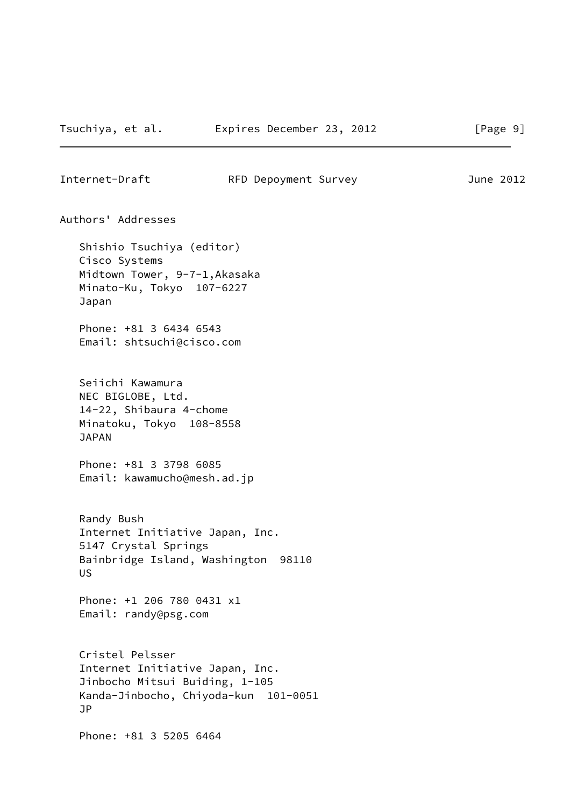Internet-Draft RFD Depoyment Survey June 2012 Authors' Addresses Shishio Tsuchiya (editor) Cisco Systems Midtown Tower, 9-7-1,Akasaka Minato-Ku, Tokyo 107-6227 Japan Phone: +81 3 6434 6543 Email: shtsuchi@cisco.com Seiichi Kawamura NEC BIGLOBE, Ltd. 14-22, Shibaura 4-chome Minatoku, Tokyo 108-8558 JAPAN Phone: +81 3 3798 6085 Email: kawamucho@mesh.ad.jp Randy Bush Internet Initiative Japan, Inc. 5147 Crystal Springs Bainbridge Island, Washington 98110 US Phone: +1 206 780 0431 x1 Email: randy@psg.com Cristel Pelsser Internet Initiative Japan, Inc. Jinbocho Mitsui Buiding, 1-105 Kanda-Jinbocho, Chiyoda-kun 101-0051 JP Phone: +81 3 5205 6464